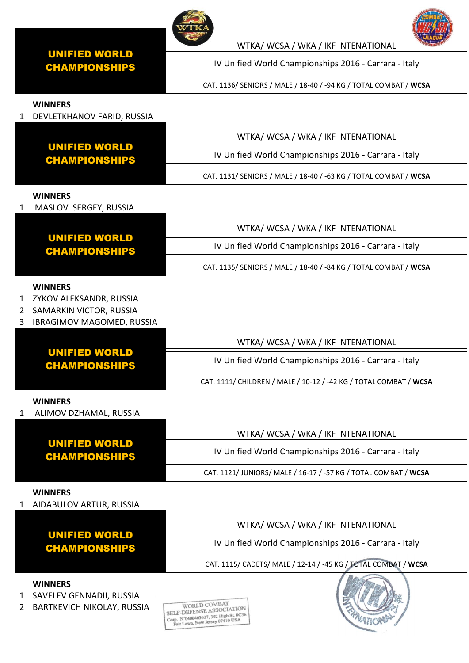

# WTKA/ WCSA / WKA / IKF INTENATIONAL

IV Unified World Championships 2016 - Carrara - Italy

CAT. 1136/ SENIORS / MALE / 18-40 / -94 KG / TOTAL COMBAT / **WCSA**

## **WINNERS**

1 DEVLETKHANOV FARID, RUSSIA

|                                       | WTKA/WCSA/WKA/IKFINTENATIONAL                                    |
|---------------------------------------|------------------------------------------------------------------|
| UNIFIED WORLD<br><b>CHAMPIONSHIPS</b> | IV Unified World Championships 2016 - Carrara - Italy            |
|                                       | CAT. 1131/ SENIORS / MALE / 18-40 / -63 KG / TOTAL COMBAT / WCSA |

#### **WINNERS**

1 MASLOV SERGEY, RUSSIA

|                                       | WTKA/WCSA/WKA/IKFINTENATIONAL                                    |
|---------------------------------------|------------------------------------------------------------------|
| UNIFIED WORLD<br><b>CHAMPIONSHIPS</b> | IV Unified World Championships 2016 - Carrara - Italy            |
|                                       | CAT. 1135/ SENIORS / MALE / 18-40 / -84 KG / TOTAL COMBAT / WCSA |

#### **WINNERS**

- 1 ZYKOV ALEKSANDR, RUSSIA
- 2 SAMARKIN VICTOR, RUSSIA
- 3 IBRAGIMOV MAGOMED, RUSSIA

|                                       | WTKA/WCSA/WKA/IKFINTENATIONAL                                     |
|---------------------------------------|-------------------------------------------------------------------|
| UNIFIED WORLD<br><b>CHAMPIONSHIPS</b> | IV Unified World Championships 2016 - Carrara - Italy             |
|                                       | CAT. 1111/ CHILDREN / MALE / 10-12 / -42 KG / TOTAL COMBAT / WCSA |

#### **WINNERS**

1 ALIMOV DZHAMAL, RUSSIA

|                                              | WTKA/WCSA/WKA/IKFINTENATIONAL                                   |
|----------------------------------------------|-----------------------------------------------------------------|
| <b>UNIFIED WORLD</b><br><b>CHAMPIONSHIPS</b> | IV Unified World Championships 2016 - Carrara - Italy           |
|                                              | CAT. 1121/ JUNIORS/ MALE / 16-17 / -57 KG / TOTAL COMBAT / WCSA |

#### **WINNERS**

1 AIDABULOV ARTUR, RUSSIA

|                                       | WTKA/WCSA/WKA/IKFINTENATIONAL                                  |
|---------------------------------------|----------------------------------------------------------------|
| UNIFIED WORLD<br><b>CHAMPIONSHIPS</b> | IV Unified World Championships 2016 - Carrara - Italy          |
|                                       | CAT. 1115/ CADETS/ MALE / 12-14 / -45 KG / TOTAL COMBAT / WCSA |

# **WINNERS**

- 1 SAVELEV GENNADII, RUSSIA
- 2 BARTKEVICH NIKOLAY, RUSSIA





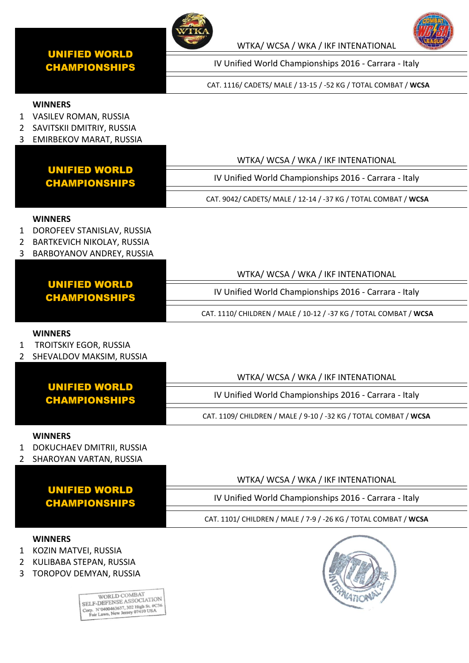

WTKA/ WCSA / WKA / IKF INTENATIONAL

IV Unified World Championships 2016 - Carrara - Italy

CAT. 1116/ CADETS/ MALE / 13-15 / -52 KG / TOTAL COMBAT / **WCSA**

# **WINNERS**

- 1 VASILEV ROMAN, RUSSIA
- 2 SAVITSKII DMITRIY, RUSSIA
- 3 EMIRBEKOV MARAT, RUSSIA

|                       |                                                                                                                                                                                                                     | WTKA/WCSA/WKA/IKFINTENATIONAL                                     |
|-----------------------|---------------------------------------------------------------------------------------------------------------------------------------------------------------------------------------------------------------------|-------------------------------------------------------------------|
|                       | <b>UNIFIED WORLD</b><br><b>CHAMPIONSHIPS</b>                                                                                                                                                                        | IV Unified World Championships 2016 - Carrara - Italy             |
|                       |                                                                                                                                                                                                                     | CAT. 9042/ CADETS/ MALE / 12-14 / -37 KG / TOTAL COMBAT / WCSA    |
| $\mathbf 1$<br>2<br>3 | <b>WINNERS</b><br>DOROFEEV STANISLAV, RUSSIA<br>BARTKEVICH NIKOLAY, RUSSIA<br>BARBOYANOV ANDREY, RUSSIA                                                                                                             |                                                                   |
|                       |                                                                                                                                                                                                                     | WTKA/WCSA/WKA/IKFINTENATIONAL                                     |
|                       | <b>UNIFIED WORLD</b><br><b>CHAMPIONSHIPS</b>                                                                                                                                                                        | IV Unified World Championships 2016 - Carrara - Italy             |
|                       |                                                                                                                                                                                                                     | CAT. 1110/ CHILDREN / MALE / 10-12 / -37 KG / TOTAL COMBAT / WCSA |
| 1<br>2                | <b>WINNERS</b><br><b>TROITSKIY EGOR, RUSSIA</b><br>SHEVALDOV MAKSIM, RUSSIA                                                                                                                                         |                                                                   |
|                       |                                                                                                                                                                                                                     | WTKA/ WCSA / WKA / IKF INTENATIONAL                               |
|                       | <b>UNIFIED WORLD</b><br><b>CHAMPIONSHIPS</b>                                                                                                                                                                        | IV Unified World Championships 2016 - Carrara - Italy             |
|                       |                                                                                                                                                                                                                     | CAT. 1109/ CHILDREN / MALE / 9-10 / -32 KG / TOTAL COMBAT / WCSA  |
| $1\,$<br>2            | <b>WINNERS</b><br>DOKUCHAEV DMITRII, RUSSIA<br>SHAROYAN VARTAN, RUSSIA                                                                                                                                              |                                                                   |
|                       |                                                                                                                                                                                                                     | WTKA/ WCSA / WKA / IKF INTENATIONAL                               |
|                       | <b>UNIFIED WORLD</b><br><b>CHAMPIONSHIPS</b>                                                                                                                                                                        | IV Unified World Championships 2016 - Carrara - Italy             |
|                       |                                                                                                                                                                                                                     | CAT. 1101/ CHILDREN / MALE / 7-9 / -26 KG / TOTAL COMBAT / WCSA   |
| 1<br>2<br>3           | <b>WINNERS</b><br>KOZIN MATVEI, RUSSIA<br>KULIBABA STEPAN, RUSSIA<br>TOROPOV DEMYAN, RUSSIA<br>WORLD COMBAT<br>SELF-DEFENSE ASSOCIATION<br>Corp. N'0400463637, 302 High St. #C36<br>Fair Lawn, New Jersey 07410 USA |                                                                   |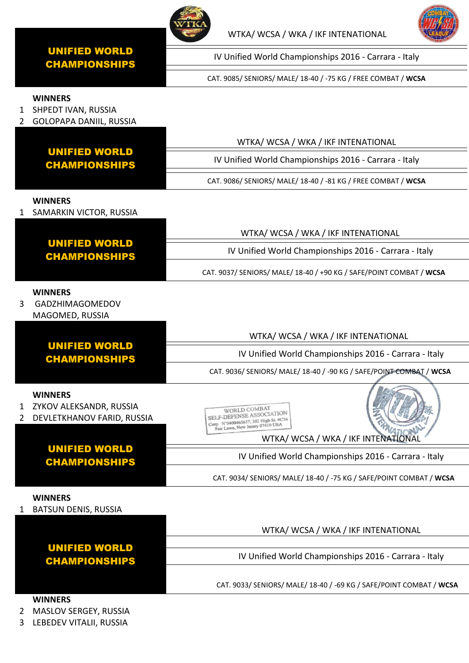



IV Unified World Championships 2016 - Carrara - Italy

CAT. 9085/ SENIORS/ MALE/ 18-40 / -75 KG / FREE COMBAT / **WCSA**

# **WINNERS**

1 SHPEDT IVAN, RUSSIA 2 GOLOPAPA DANIIL, RUSSIA WTKA/ WCSA / WKA / IKF INTENATIONAL UNIFIED WORLD IV Unified World Championships 2016 - Carrara - Italy CHAMPIONSHIPS CAT. 9086/ SENIORS/ MALE/ 18-40 / -81 KG / FREE COMBAT / **WCSA WINNERS** 1 SAMARKIN VICTOR, RUSSIA WTKA/ WCSA / WKA / IKF INTENATIONAL UNIFIED WORLD IV Unified World Championships 2016 - Carrara - Italy CHAMPIONSHIPS CAT. 9037/ SENIORS/ MALE/ 18-40 / +90 KG / SAFE/POINT COMBAT / **WCSA WINNERS** 3 GADZHIMAGOMEDOV MAGOMED, RUSSIA WTKA/ WCSA / WKA / IKF INTENATIONAL UNIFIED WORLD IV Unified World Championships 2016 - Carrara - Italy CHAMPIONSHIPS CAT. 9036/ SENIORS/ MALE/ 18-40 / -90 KG / SAFE/POINT COMBAT / **WCSA WINNERS** 1 ZYKOV ALEKSANDR, RUSSIA WORLD COMBAT WORLD COMBATION<br>SELF-DEFENSE ASSOCIATION 2 DEVLETKHANOV FARID, RUSSIA SELF-DEFENSE ASSOCIATION

#### UNIFIED WORLD CHAMPIONSHIPS WTKA/ WCSA / WKA / IKF INTENATIONAL IV Unified World Championships 2016 - Carrara - Italy CAT. 9034/ SENIORS/ MALE/ 18-40 / -75 KG / SAFE/POINT COMBAT / **WCSA**

# **WINNERS**

1 BATSUN DENIS, RUSSIA

UNIFIED WORLD CHAMPIONSHIPS WTKA/ WCSA / WKA / IKF INTENATIONAL IV Unified World Championships 2016 - Carrara - Italy CAT. 9033/ SENIORS/ MALE/ 18-40 / -69 KG / SAFE/POINT COMBAT / **WCSA**

# **WINNERS**

2 MASLOV SERGEY, RUSSIA

3 LEBEDEV VITALII, RUSSIA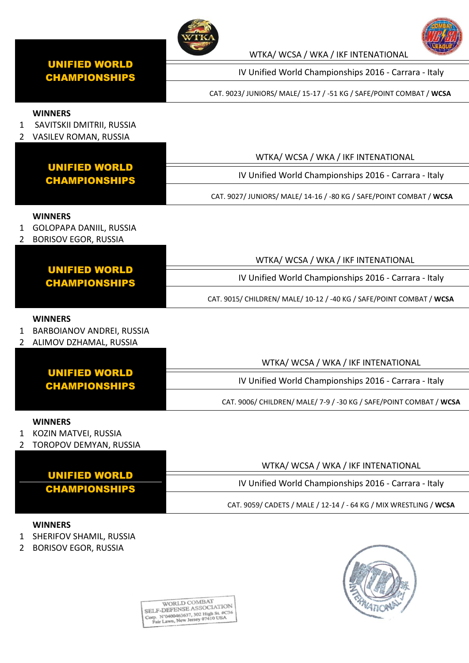

WTKA/ WCSA / WKA / IKF INTENATIONAL

IV Unified World Championships 2016 - Carrara - Italy

CAT. 9023/ JUNIORS/ MALE/ 15-17 / -51 KG / SAFE/POINT COMBAT / **WCSA**

#### **WINNERS**

- 1 SAVITSKII DMITRII, RUSSIA
- 2 VASILEV ROMAN, RUSSIA

|                                       | WTKA/WCSA/WKA/IKFINTENATIONAL                                       |
|---------------------------------------|---------------------------------------------------------------------|
| UNIFIED WORLD<br><b>CHAMPIONSHIPS</b> | IV Unified World Championships 2016 - Carrara - Italy               |
|                                       | CAT. 9027/ JUNIORS/ MALE/ 14-16 / -80 KG / SAFE/POINT COMBAT / WCSA |

#### **WINNERS**

- 1 GOLOPAPA DANIIL, RUSSIA
- 2 BORISOV EGOR, RUSSIA

|                                       | WTKA/WCSA/WKA/IKFINTENATIONAL                                        |
|---------------------------------------|----------------------------------------------------------------------|
| <b>UNIFIED WORLD</b><br>CHAMPIONSHIPS | IV Unified World Championships 2016 - Carrara - Italy                |
|                                       | CAT. 9015/ CHILDREN/ MALE/ 10-12 / -40 KG / SAFE/POINT COMBAT / WCSA |

#### **WINNERS**

- 1 BARBOIANOV ANDREI, RUSSIA
- 2 ALIMOV DZHAMAL, RUSSIA

|                                       | WTKA/WCSA/WKA/IKFINTENATIONAL                                      |
|---------------------------------------|--------------------------------------------------------------------|
| <b>UNIFIED WORLD</b><br>CHAMPIONSHIPS | IV Unified World Championships 2016 - Carrara - Italy              |
|                                       | CAT. 9006/ CHILDREN/ MALE/ 7-9 / -30 KG / SAFE/POINT COMBAT / WCSA |

#### **WINNERS**

- 1 KOZIN MATVEI, RUSSIA
- 2 TOROPOV DEMYAN, RUSSIA

|                                              | WTKA/WCSA/WKA/IKFINTENATIONAL                                     |
|----------------------------------------------|-------------------------------------------------------------------|
| <b>UNIFIED WORLD</b><br><b>CHAMPIONSHIPS</b> | IV Unified World Championships 2016 - Carrara - Italy             |
|                                              | CAT. 9059/ CADETS / MALE / 12-14 / - 64 KG / MIX WRESTLING / WCSA |

# **WINNERS**

- 1 SHERIFOV SHAMIL, RUSSIA
- 2 BORISOV EGOR, RUSSIA

 $\begin{tabular}{c} \multicolumn{2}{c}{\textbf{WORLD COMBAT}}\\ \textbf{SELECT-DEFENSE ASSOCIATION}\\ \textbf{Copy. N'0400463637, 302 High St. #C36\\ \textbf{Far Lawn, New Jersey 07410 USA} \end{tabular}$ 



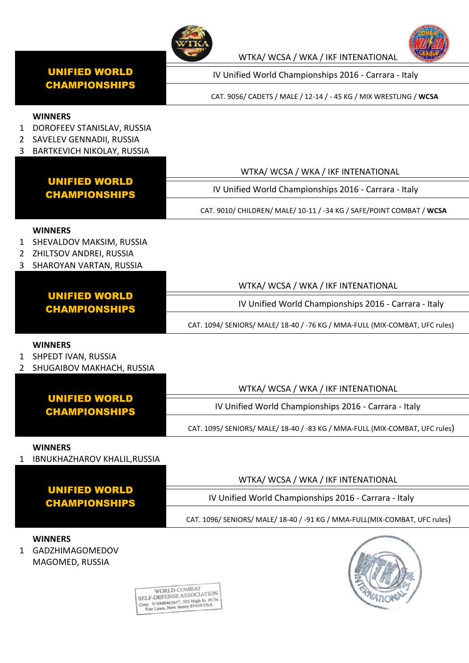



IV Unified World Championships 2016 - Carrara - Italy

WTKA/ WCSA / WKA / IKF INTENATIONAL

CAT. 9056/ CADETS / MALE / 12-14 / - 45 KG / MIX WRESTLING / **WCSA**

#### **WINNERS**

- 1 DOROFEEV STANISLAV, RUSSIA
- 2 SAVELEV GENNADII, RUSSIA
- 3 BARTKEVICH NIKOLAY, RUSSIA

|                     | <b>UNIFIED WORLD</b><br><b>CHAMPIONSHIPS</b>                                                       | WTKA/ WCSA / WKA / IKF INTENATIONAL                                         |
|---------------------|----------------------------------------------------------------------------------------------------|-----------------------------------------------------------------------------|
|                     |                                                                                                    | IV Unified World Championships 2016 - Carrara - Italy                       |
|                     |                                                                                                    | CAT. 9010/ CHILDREN/ MALE/ 10-11 / -34 KG / SAFE/POINT COMBAT / WCSA        |
| $\overline{2}$<br>3 | <b>WINNERS</b><br>1 SHEVALDOV MAKSIM, RUSSIA<br>ZHILTSOV ANDREI, RUSSIA<br>SHAROYAN VARTAN, RUSSIA |                                                                             |
|                     |                                                                                                    | WTKA/WCSA/WKA/IKFINTENATIONAL                                               |
|                     | <b>UNIFIED WORLD</b><br><b>CHAMPIONSHIPS</b>                                                       | IV Unified World Championships 2016 - Carrara - Italy                       |
|                     |                                                                                                    | CAT. 1094/ SENIORS/ MALE/ 18-40 / -76 KG / MMA-FULL (MIX-COMBAT, UFC rules) |
| 1<br>2              | <b>WINNERS</b><br>SHPEDT IVAN, RUSSIA<br>SHUGAIBOV MAKHACH, RUSSIA                                 |                                                                             |
|                     |                                                                                                    | WTKA/ WCSA / WKA / IKF INTENATIONAL                                         |
|                     | <b>UNIFIED WORLD</b><br><b>CHAMPIONSHIPS</b>                                                       | IV Unified World Championships 2016 - Carrara - Italy                       |
|                     |                                                                                                    | CAT. 1095/ SENIORS/ MALE/ 18-40 / -83 KG / MMA-FULL (MIX-COMBAT, UFC rules) |
| 1                   | <b>WINNERS</b><br>IBNUKHAZHAROV KHALIL, RUSSIA                                                     |                                                                             |
|                     |                                                                                                    | WTKA/ WCSA / WKA / IKF INTENATIONAL                                         |
|                     | <b>UNIFIED WORLD</b><br><b>CHAMPIONSHIPS</b>                                                       | IV Unified World Championships 2016 - Carrara - Italy                       |
|                     |                                                                                                    | CAT. 1096/ SENIORS/ MALE/ 18-40 / -91 KG / MMA-FULL(MIX-COMBAT, UFC rules)  |

### **WINNERS**

1 GADZHIMAGOMEDOV MAGOMED, RUSSIA



 $\begin{array}{c} \text{WORDD COMBAT} \\ \text{SELF-DEFFENSE ASSOCIATION} \\ \text{Comp. N'0400463637, 302 High St. #C36} \\ \text{Pair Lawn, New Jersey 07410 USA} \end{array}$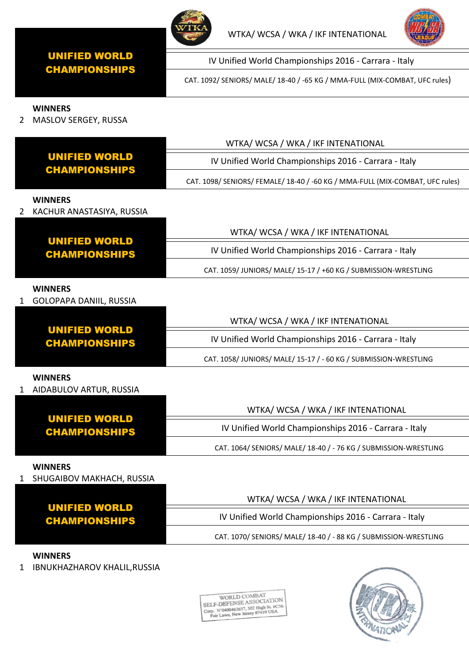



IV Unified World Championships 2016 - Carrara - Italy

CAT. 1092/ SENIORS/ MALE/ 18-40 / -65 KG / MMA-FULL (MIX-COMBAT, UFC rules)

## **WINNERS**

2 MASLOV SERGEY, RUSSA

|                                                  | WTKA/ WCSA / WKA / IKF INTENATIONAL                                           |
|--------------------------------------------------|-------------------------------------------------------------------------------|
| <b>UNIFIED WORLD</b><br><b>CHAMPIONSHIPS</b>     | IV Unified World Championships 2016 - Carrara - Italy                         |
|                                                  | CAT. 1098/ SENIORS/ FEMALE/ 18-40 / -60 KG / MMA-FULL (MIX-COMBAT, UFC rules) |
| <b>WINNERS</b><br>KACHUR ANASTASIYA, RUSSIA      |                                                                               |
|                                                  | WTKA/ WCSA / WKA / IKF INTENATIONAL                                           |
| <b>UNIFIED WORLD</b><br><b>CHAMPIONSHIPS</b>     | IV Unified World Championships 2016 - Carrara - Italy                         |
|                                                  | CAT. 1059/JUNIORS/MALE/15-17 / +60 KG / SUBMISSION-WRESTLING                  |
| <b>WINNERS</b><br><b>GOLOPAPA DANIIL, RUSSIA</b> |                                                                               |
|                                                  | WTKA/WCSA/WKA/IKFINTENATIONAL                                                 |
| <b>UNIFIED WORLD</b><br><b>CHAMPIONSHIPS</b>     | IV Unified World Championships 2016 - Carrara - Italy                         |
|                                                  | CAT. 1058/JUNIORS/MALE/15-17 / - 60 KG / SUBMISSION-WRESTLING                 |
| <b>WINNERS</b><br>1 AIDABULOV ARTUR, RUSSIA      |                                                                               |
|                                                  | WTKA/ WCSA / WKA / IKF INTENATIONAL                                           |
| <b>UNIFIED WORLD</b><br><b>CHAMPIONSHIPS</b>     | IV Unified World Championships 2016 - Carrara - Italy                         |
|                                                  | CAT. 1064/ SENIORS/ MALE/ 18-40 / - 76 KG / SUBMISSION-WRESTLING              |
| <b>WINNERS</b><br>SHUGAIBOV MAKHACH, RUSSIA<br>1 |                                                                               |
|                                                  | WTKA/ WCSA / WKA / IKF INTENATIONAL                                           |
| <b>UNIFIED WORLD</b><br><b>CHAMPIONSHIPS</b>     | IV Unified World Championships 2016 - Carrara - Italy                         |
|                                                  | CAT. 1070/ SENIORS/ MALE/ 18-40 / - 88 KG / SUBMISSION-WRESTLING              |

# **WINNERS**

1 IBNUKHAZHAROV KHALIL,RUSSIA

 $\begin{tabular}{c} \bf WORLD COMBAT \\ \bf SELF-DEFFENSE ASSOCIATION \\ \bf Comp. N'0400463637, 302 High St. #C36 \\ \hline Fair Lawn, New Jersey 07410 USA \end{tabular}$